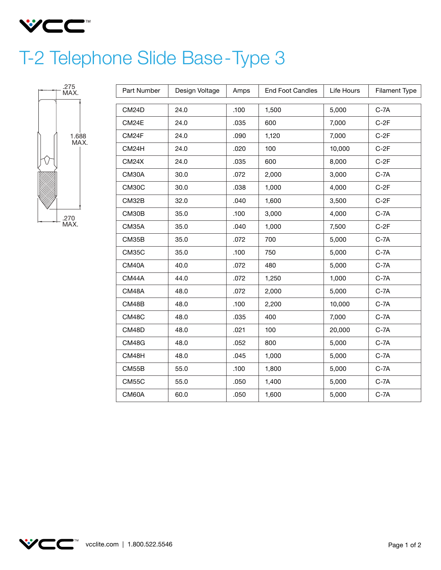

## T-2 Telephone Slide Base-Type 3



| Part Number  | Design Voltage | Amps | <b>End Foot Candles</b> | Life Hours      | <b>Filament Type</b> |  |
|--------------|----------------|------|-------------------------|-----------------|----------------------|--|
| CM24D        | 24.0           | .100 | 1,500                   | 5,000<br>$C-7A$ |                      |  |
| CM24E        | 24.0           | .035 | 600                     | 7,000           | $C-2F$               |  |
| CM24F        | 24.0           | .090 | 1,120                   | 7,000           | $C-2F$               |  |
| CM24H        | 24.0           | .020 | 100                     | 10,000          | $C-2F$               |  |
| CM24X        | 24.0           | .035 | 600                     | 8,000           | $C-2F$               |  |
| CM30A        | 30.0           | .072 | 2,000                   | 3,000           | $C-7A$               |  |
| <b>CM30C</b> | 30.0           | .038 | 1,000                   | 4,000           | $C-2F$               |  |
|              |                |      |                         |                 |                      |  |
| CM32B        | 32.0           | .040 | 1,600                   | 3,500           | $C-2F$               |  |
| CM30B        | 35.0           | .100 | 3,000                   | 4,000           | $C-7A$               |  |
| CM35A        | 35.0           | .040 | 1,000                   | 7,500           | $C-2F$               |  |
| CM35B        | 35.0           | .072 | 700                     | 5,000           | $C-7A$               |  |
| CM35C        | 35.0           | .100 | 750                     | 5,000           | $C-7A$               |  |
| CM40A        | 40.0           | .072 | 480                     | 5,000           | $C-7A$               |  |
| CM44A        | 44.0           | .072 | 1,250                   | 1,000           | $C-7A$               |  |
| CM48A        | 48.0           | .072 | 2,000                   | 5,000           | $C-7A$               |  |
| CM48B        | 48.0           | .100 | 2,200                   | 10,000          | $C-7A$               |  |
| CM48C        | 48.0           | .035 | 400                     | 7,000           | $C-7A$               |  |
| CM48D        | 48.0           | .021 | 100                     | 20,000          | $C-7A$               |  |
| CM48G        | 48.0           | .052 | 800                     | 5,000           | $C-7A$               |  |
| CM48H        | 48.0           | .045 | 1,000                   | 5,000           | $C-7A$               |  |
| CM55B        | 55.0           | .100 | 1,800                   | 5,000           | $C-7A$               |  |
| CM55C        | 55.0           | .050 | 1,400                   | 5,000           | $C-7A$               |  |
| CM60A        | 60.0           | .050 | 1,600                   | 5,000           | $C-7A$               |  |